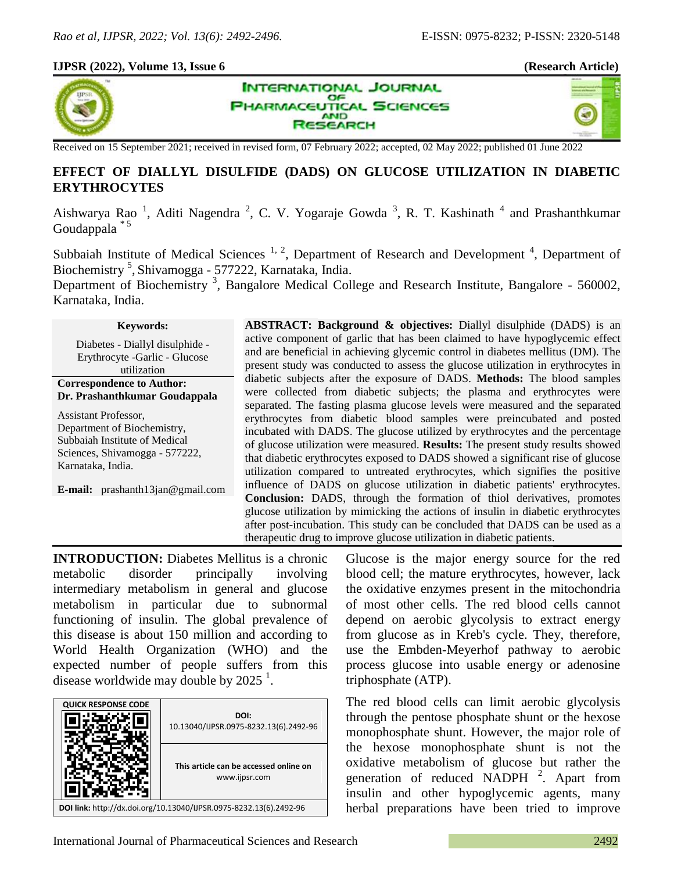#### **IJPSR (2022), Volume 13, Issue 6 (Research Article)**



**INTERNATIONAL JOURNAL** OF **PHARMACEUTICAL SCIENCES AND SEARCH** 



Received on 15 September 2021; received in revised form, 07 February 2022; accepted, 02 May 2022; published 01 June 2022

# **EFFECT OF DIALLYL DISULFIDE (DADS) ON GLUCOSE UTILIZATION IN DIABETIC ERYTHROCYTES**

Aishwarya Rao<sup>1</sup>, Aditi Nagendra<sup>2</sup>, C. V. Yogaraje Gowda<sup>3</sup>, R. T. Kashinath<sup>4</sup> and Prashanthkumar Goudappala \* 5

Subbaiah Institute of Medical Sciences<sup>1, 2</sup>, Department of Research and Development<sup>4</sup>, Department of Biochemistry<sup>5</sup>, Shivamogga - 577222, Karnataka, India.

Department of Biochemistry<sup>3</sup>, Bangalore Medical College and Research Institute, Bangalore - 560002, Karnataka, India.

**Keywords:**

Diabetes - Diallyl disulphide - Erythrocyte -Garlic - Glucose utilization

**Correspondence to Author: Dr. Prashanthkumar Goudappala**

Assistant Professor, Department of Biochemistry, Subbaiah Institute of Medical Sciences, Shivamogga - 577222, Karnataka, India.

**E-mail:** prashanth13jan@gmail.com

**ABSTRACT: Background & objectives:** Diallyl disulphide (DADS) is an active component of garlic that has been claimed to have hypoglycemic effect and are beneficial in achieving glycemic control in diabetes mellitus (DM). The present study was conducted to assess the glucose utilization in erythrocytes in diabetic subjects after the exposure of DADS. **Methods:** The blood samples were collected from diabetic subjects; the plasma and erythrocytes were separated. The fasting plasma glucose levels were measured and the separated erythrocytes from diabetic blood samples were preincubated and posted incubated with DADS. The glucose utilized by erythrocytes and the percentage of glucose utilization were measured. **Results:** The present study results showed that diabetic erythrocytes exposed to DADS showed a significant rise of glucose utilization compared to untreated erythrocytes, which signifies the positive influence of DADS on glucose utilization in diabetic patients' erythrocytes. **Conclusion:** DADS, through the formation of thiol derivatives, promotes glucose utilization by mimicking the actions of insulin in diabetic erythrocytes after post-incubation. This study can be concluded that DADS can be used as a therapeutic drug to improve glucose utilization in diabetic patients.

**INTRODUCTION:** Diabetes Mellitus is a chronic metabolic disorder principally involving intermediary metabolism in general and glucose metabolism in particular due to subnormal functioning of insulin. The global prevalence of this disease is about 150 million and according to World Health Organization (WHO) and the expected number of people suffers from this disease worldwide may double by  $2025<sup>1</sup>$ .



Glucose is the major energy source for the red blood cell; the mature erythrocytes, however, lack the oxidative enzymes present in the mitochondria of most other cells. The red blood cells cannot depend on aerobic glycolysis to extract energy from glucose as in Kreb's cycle. They, therefore, use the Embden-Meyerhof pathway to aerobic process glucose into usable energy or adenosine triphosphate (ATP).

The red blood cells can limit aerobic glycolysis through the pentose phosphate shunt or the hexose monophosphate shunt. However, the major role of the hexose monophosphate shunt is not the oxidative metabolism of glucose but rather the generation of reduced NADPH  $^2$ . Apart from insulin and other hypoglycemic agents, many herbal preparations have been tried to improve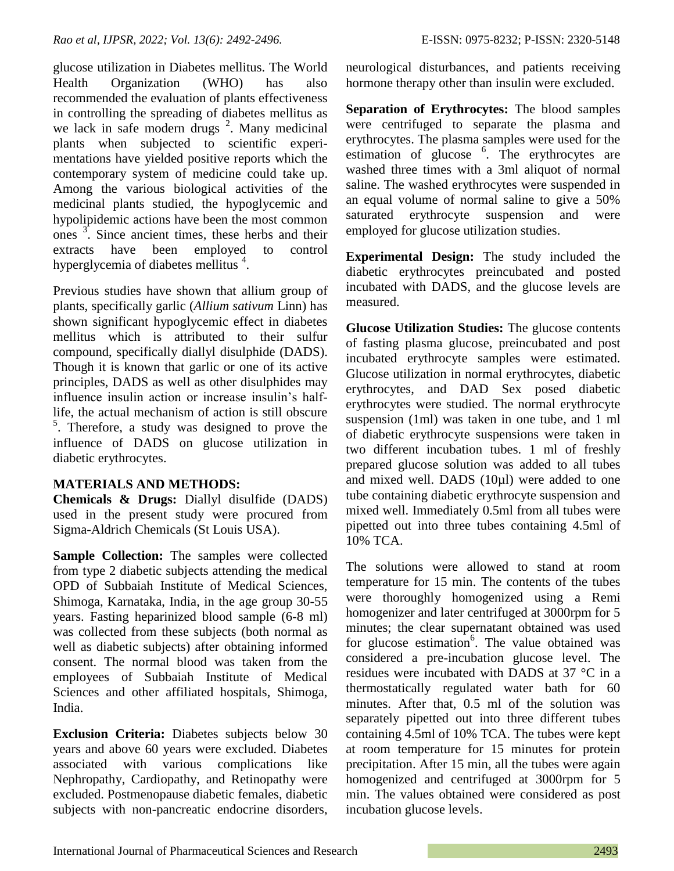glucose utilization in Diabetes mellitus. The World Health Organization (WHO) has also recommended the evaluation of plants effectiveness in controlling the spreading of diabetes mellitus as we lack in safe modern drugs  $2$ . Many medicinal plants when subjected to scientific experimentations have yielded positive reports which the contemporary system of medicine could take up. Among the various biological activities of the medicinal plants studied, the hypoglycemic and hypolipidemic actions have been the most common  $\frac{3}{1}$ . Since ancient times, these herbs and their extracts have been employed to control hyperglycemia of diabetes mellitus<sup>4</sup>.

Previous studies have shown that allium group of plants, specifically garlic (*Allium sativum* Linn) has shown significant hypoglycemic effect in diabetes mellitus which is attributed to their sulfur compound, specifically diallyl disulphide (DADS). Though it is known that garlic or one of its active principles, DADS as well as other disulphides may influence insulin action or increase insulin's halflife, the actual mechanism of action is still obscure  $5$ . Therefore, a study was designed to prove the influence of DADS on glucose utilization in diabetic erythrocytes.

## **MATERIALS AND METHODS:**

**Chemicals & Drugs:** Diallyl disulfide (DADS) used in the present study were procured from Sigma-Aldrich Chemicals (St Louis USA).

**Sample Collection:** The samples were collected from type 2 diabetic subjects attending the medical OPD of Subbaiah Institute of Medical Sciences, Shimoga, Karnataka, India, in the age group 30-55 years. Fasting heparinized blood sample (6-8 ml) was collected from these subjects (both normal as well as diabetic subjects) after obtaining informed consent. The normal blood was taken from the employees of Subbaiah Institute of Medical Sciences and other affiliated hospitals, Shimoga, India.

**Exclusion Criteria:** Diabetes subjects below 30 years and above 60 years were excluded. Diabetes associated with various complications like Nephropathy, Cardiopathy, and Retinopathy were excluded. Postmenopause diabetic females, diabetic subjects with non-pancreatic endocrine disorders, neurological disturbances, and patients receiving hormone therapy other than insulin were excluded.

**Separation of Erythrocytes:** The blood samples were centrifuged to separate the plasma and erythrocytes. The plasma samples were used for the estimation of glucose <sup>6</sup>. The erythrocytes are washed three times with a 3ml aliquot of normal saline. The washed erythrocytes were suspended in an equal volume of normal saline to give a 50% saturated erythrocyte suspension and were employed for glucose utilization studies.

**Experimental Design:** The study included the diabetic erythrocytes preincubated and posted incubated with DADS, and the glucose levels are measured.

**Glucose Utilization Studies:** The glucose contents of fasting plasma glucose, preincubated and post incubated erythrocyte samples were estimated. Glucose utilization in normal erythrocytes, diabetic erythrocytes, and DAD Sex posed diabetic erythrocytes were studied. The normal erythrocyte suspension (1ml) was taken in one tube, and 1 ml of diabetic erythrocyte suspensions were taken in two different incubation tubes. 1 ml of freshly prepared glucose solution was added to all tubes and mixed well. DADS (10µl) were added to one tube containing diabetic erythrocyte suspension and mixed well. Immediately 0.5ml from all tubes were pipetted out into three tubes containing 4.5ml of 10% TCA.

The solutions were allowed to stand at room temperature for 15 min. The contents of the tubes were thoroughly homogenized using a Remi homogenizer and later centrifuged at 3000rpm for 5 minutes; the clear supernatant obtained was used for glucose estimation<sup>6</sup>. The value obtained was considered a pre-incubation glucose level. The residues were incubated with DADS at 37 °C in a thermostatically regulated water bath for 60 minutes. After that, 0.5 ml of the solution was separately pipetted out into three different tubes containing 4.5ml of 10% TCA. The tubes were kept at room temperature for 15 minutes for protein precipitation. After 15 min, all the tubes were again homogenized and centrifuged at 3000rpm for 5 min. The values obtained were considered as post incubation glucose levels.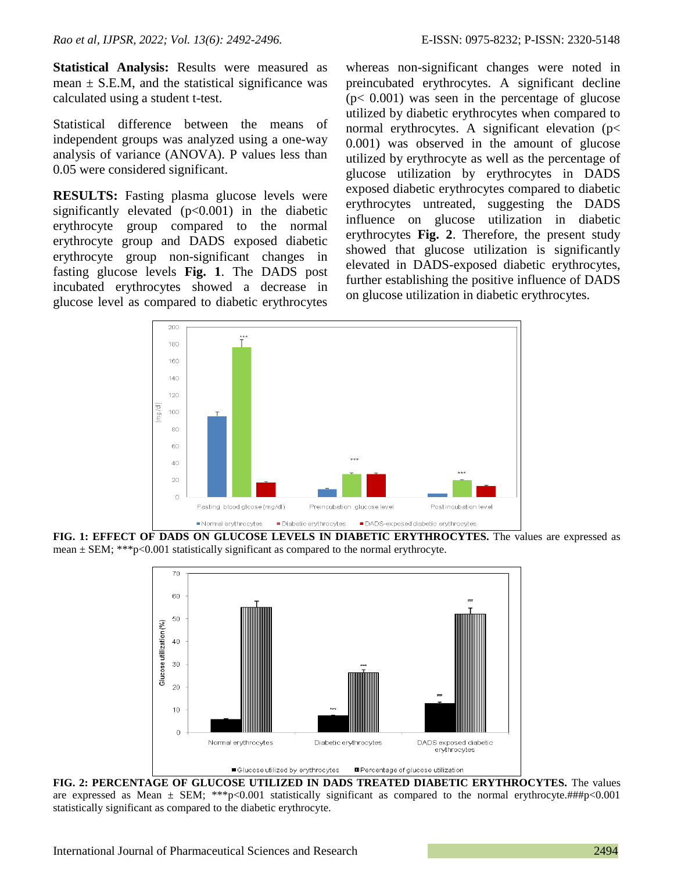**Statistical Analysis:** Results were measured as mean  $\pm$  S.E.M, and the statistical significance was calculated using a student t-test.

Statistical difference between the means of independent groups was analyzed using a one-way analysis of variance (ANOVA). P values less than 0.05 were considered significant.

**RESULTS:** Fasting plasma glucose levels were significantly elevated (p<0.001) in the diabetic erythrocyte group compared to the normal erythrocyte group and DADS exposed diabetic erythrocyte group non-significant changes in fasting glucose levels **Fig. 1**. The DADS post incubated erythrocytes showed a decrease in glucose level as compared to diabetic erythrocytes

whereas non-significant changes were noted in preincubated erythrocytes. A significant decline  $(p< 0.001)$  was seen in the percentage of glucose utilized by diabetic erythrocytes when compared to normal erythrocytes. A significant elevation (p< 0.001) was observed in the amount of glucose utilized by erythrocyte as well as the percentage of glucose utilization by erythrocytes in DADS exposed diabetic erythrocytes compared to diabetic erythrocytes untreated, suggesting the DADS influence on glucose utilization in diabetic erythrocytes **Fig. 2**. Therefore, the present study showed that glucose utilization is significantly elevated in DADS-exposed diabetic erythrocytes, further establishing the positive influence of DADS on glucose utilization in diabetic erythrocytes.



**FIG. 1: EFFECT OF DADS ON GLUCOSE LEVELS IN DIABETIC ERYTHROCYTES.** The values are expressed as mean  $\pm$  SEM; \*\*\*p<0.001 statistically significant as compared to the normal erythrocyte.



**FIG. 2: PERCENTAGE OF GLUCOSE UTILIZED IN DADS TREATED DIABETIC ERYTHROCYTES.** The values are expressed as Mean  $\pm$  SEM; \*\*\*p<0.001 statistically significant as compared to the normal erythrocyte.###p<0.001 statistically significant as compared to the diabetic erythrocyte.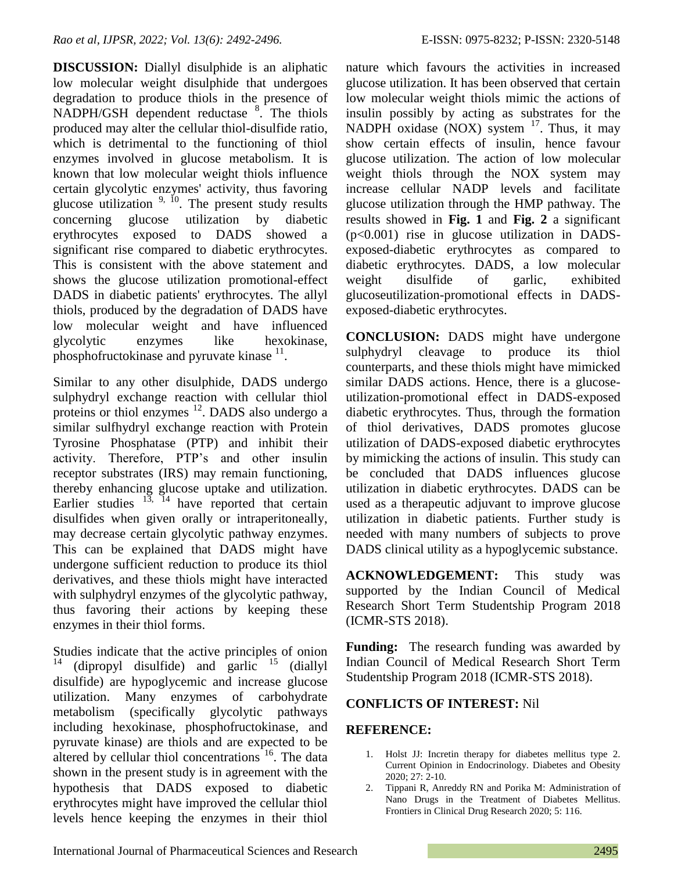**DISCUSSION:** Diallyl disulphide is an aliphatic low molecular weight disulphide that undergoes degradation to produce thiols in the presence of NADPH/GSH dependent reductase <sup>8</sup>. The thiols produced may alter the cellular thiol-disulfide ratio, which is detrimental to the functioning of thiol enzymes involved in glucose metabolism. It is known that low molecular weight thiols influence certain glycolytic enzymes' activity, thus favoring glucose utilization  $9, 10$ . The present study results concerning glucose utilization by diabetic erythrocytes exposed to DADS showed a significant rise compared to diabetic erythrocytes. This is consistent with the above statement and shows the glucose utilization promotional-effect DADS in diabetic patients' erythrocytes. The allyl thiols, produced by the degradation of DADS have low molecular weight and have influenced glycolytic enzymes like hexokinase, phosphofructokinase and pyruvate kinase  $11$ .

Similar to any other disulphide, DADS undergo sulphydryl exchange reaction with cellular thiol proteins or thiol enzymes <sup>12</sup>. DADS also undergo a similar sulfhydryl exchange reaction with Protein Tyrosine Phosphatase (PTP) and inhibit their activity. Therefore, PTP's and other insulin receptor substrates (IRS) may remain functioning, thereby enhancing glucose uptake and utilization. Earlier studies  $13, 14$  have reported that certain disulfides when given orally or intraperitoneally, may decrease certain glycolytic pathway enzymes. This can be explained that DADS might have undergone sufficient reduction to produce its thiol derivatives, and these thiols might have interacted with sulphydryl enzymes of the glycolytic pathway, thus favoring their actions by keeping these enzymes in their thiol forms.

Studies indicate that the active principles of onion (dipropyl disulfide) and garlic  $15$  (diallyl) disulfide) are hypoglycemic and increase glucose utilization. Many enzymes of carbohydrate metabolism (specifically glycolytic pathways including hexokinase, phosphofructokinase, and pyruvate kinase) are thiols and are expected to be altered by cellular thiol concentrations  $16$ . The data shown in the present study is in agreement with the hypothesis that DADS exposed to diabetic erythrocytes might have improved the cellular thiol levels hence keeping the enzymes in their thiol nature which favours the activities in increased glucose utilization. It has been observed that certain low molecular weight thiols mimic the actions of insulin possibly by acting as substrates for the NADPH oxidase (NOX) system  $17$ . Thus, it may show certain effects of insulin, hence favour glucose utilization. The action of low molecular weight thiols through the NOX system may increase cellular NADP levels and facilitate glucose utilization through the HMP pathway. The results showed in **Fig. 1** and **Fig. 2** a significant (p<0.001) rise in glucose utilization in DADSexposed-diabetic erythrocytes as compared to diabetic erythrocytes. DADS, a low molecular weight disulfide of garlic, exhibited glucoseutilization-promotional effects in DADSexposed-diabetic erythrocytes.

**CONCLUSION:** DADS might have undergone sulphydryl cleavage to produce its thiol counterparts, and these thiols might have mimicked similar DADS actions. Hence, there is a glucoseutilization-promotional effect in DADS-exposed diabetic erythrocytes. Thus, through the formation of thiol derivatives, DADS promotes glucose utilization of DADS-exposed diabetic erythrocytes by mimicking the actions of insulin. This study can be concluded that DADS influences glucose utilization in diabetic erythrocytes. DADS can be used as a therapeutic adjuvant to improve glucose utilization in diabetic patients. Further study is needed with many numbers of subjects to prove DADS clinical utility as a hypoglycemic substance.

**ACKNOWLEDGEMENT:** This study was supported by the Indian Council of Medical Research Short Term Studentship Program 2018 (ICMR-STS 2018).

**Funding:** The research funding was awarded by Indian Council of Medical Research Short Term Studentship Program 2018 (ICMR-STS 2018).

## **CONFLICTS OF INTEREST:** Nil

## **REFERENCE:**

- 1. Holst JJ: Incretin therapy for diabetes mellitus type 2. Current Opinion in Endocrinology. Diabetes and Obesity 2020; 27: 2-10.
- 2. Tippani R, Anreddy RN and Porika M: Administration of Nano Drugs in the Treatment of Diabetes Mellitus. Frontiers in Clinical Drug Research 2020; 5: 116.